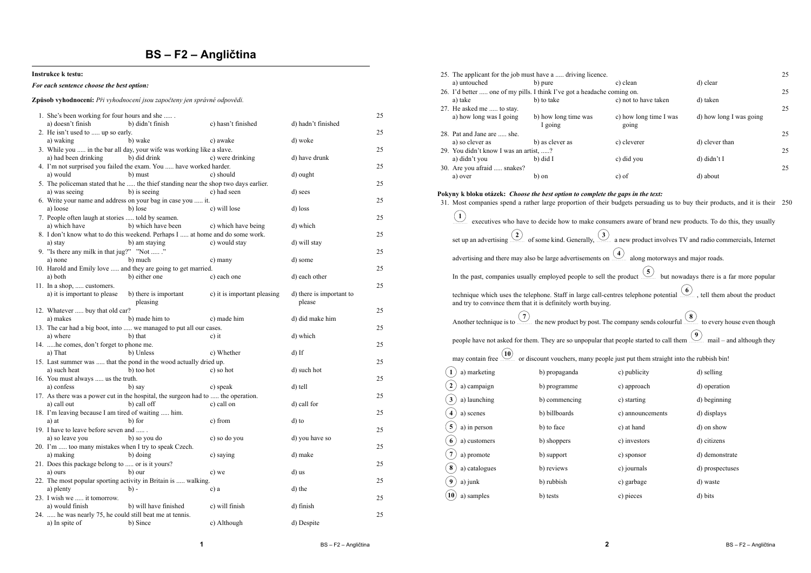## **BS – F2 – Angličtina**

#### **Instrukce k testu:**

### *For each sentence choose the best option:*

#### **Způsob vyhodnocení:** *Při vyhodnocení jsou započteny jen správné odpovědi.*

| 1. She's been working for four hours and she<br>a) doesn't finish                             | b) didn't finish      | c) hasn't finished          | d) hadn't finished       | 25 |
|-----------------------------------------------------------------------------------------------|-----------------------|-----------------------------|--------------------------|----|
| 2. He isn't used to  up so early.                                                             |                       |                             |                          | 25 |
| b) wake<br>a) waking<br>3. While you  in the bar all day, your wife was working like a slave. |                       | c) awake                    | d) woke                  | 25 |
| a) had been drinking                                                                          | b) did drink          | c) were drinking            | d) have drunk            |    |
| 4. I'm not surprised you failed the exam. You  have worked harder.                            |                       |                             |                          | 25 |
| a) would<br>b) must                                                                           |                       | c) should                   | d) ought                 |    |
| 5. The policeman stated that he  the thief standing near the shop two days earlier.           |                       |                             |                          | 25 |
| a) was seeing                                                                                 | b) is seeing          | c) had seen                 | d) sees                  |    |
| 6. Write your name and address on your bag in case you  it.                                   |                       |                             |                          | 25 |
| b) lose<br>a) loose                                                                           |                       | c) will lose                | d) loss                  | 25 |
| 7. People often laugh at stories  told by seamen.<br>a) which have                            | b) which have been    | c) which have being         | d) which                 |    |
| 8. I don't know what to do this weekend. Perhaps I  at home and do some work.                 |                       |                             |                          | 25 |
| a) stav                                                                                       | b) am staving         | c) would stay               | d) will stay             |    |
| 9. "Is there any milk in that jug?" "Not "                                                    |                       |                             |                          | 25 |
| b) much<br>a) none                                                                            |                       | c) many                     | d) some                  |    |
| 10. Harold and Emily love  and they are going to get married.                                 |                       |                             |                          | 25 |
| a) both                                                                                       | b) either one         | c) each one                 | d) each other            |    |
| 11. In a shop,  customers.                                                                    |                       |                             |                          | 25 |
| a) it is important to please                                                                  | b) there is important | c) it is important pleasing | d) there is important to |    |
|                                                                                               | pleasing              |                             | please                   |    |
| 12. Whatever  buy that old car?                                                               |                       |                             |                          | 25 |
| a) makes<br>13. The car had a big boot, into  we managed to put all our cases.                | b) made him to        | c) made him                 | d) did make him          | 25 |
| a) where<br>b) that                                                                           |                       | c) it                       | d) which                 |    |
| 14. he comes, don't forget to phone me.                                                       |                       |                             |                          | 25 |
| a) That<br>b) Unless                                                                          |                       | c) Whether                  | $d$ ) If                 |    |
| 15. Last summer was  that the pond in the wood actually dried up.                             |                       |                             |                          | 25 |
| a) such heat                                                                                  | b) too hot            | c) so hot                   | d) such hot              |    |
| 16. You must always  us the truth.                                                            |                       |                             |                          | 25 |
| b) say<br>a) confess                                                                          |                       | c) speak                    | d) tell                  |    |
| 17. As there was a power cut in the hospital, the surgeon had to  the operation.              |                       |                             |                          | 25 |
| a) call out                                                                                   | b) call off           | c) call on                  | d) call for              |    |
| 18. I'm leaving because I am tired of waiting  him.                                           |                       |                             |                          | 25 |
| b) for<br>a) at<br>19. I have to leave before seven and                                       |                       | c) from                     | d) to                    | 25 |
| a) so leave you                                                                               | b) so you do          | c) so do you                | d) you have so           |    |
| 20. I'm  too many mistakes when I try to speak Czech.                                         |                       |                             |                          | 25 |
| a) making<br>b) doing                                                                         |                       | c) saying                   | d) make                  |    |
| 21. Does this package belong to  or is it yours?                                              |                       |                             |                          | 25 |
| b) our<br>a) ours                                                                             |                       | c) we                       | d) us                    |    |
| 22. The most popular sporting activity in Britain is  walking.                                |                       |                             |                          | 25 |
| a) plenty<br>$b) -$                                                                           |                       | c) a                        | d) the                   |    |
|                                                                                               |                       |                             |                          |    |
| 23. I wish we  it tomorrow.                                                                   |                       |                             |                          | 25 |
| a) would finish                                                                               | b) will have finished | c) will finish              | d) finish                |    |
| 24.  he was nearly 75, he could still beat me at tennis.<br>b) Since<br>a) In spite of        |                       | c) Although                 | d) Despite               | 25 |

|                                                                                                                                  | 25. The applicant for the job must have a  driving licence.                                                                                                                                           |                                         |                                 |                                                                                                                          |     |  |  |  |  |  |
|----------------------------------------------------------------------------------------------------------------------------------|-------------------------------------------------------------------------------------------------------------------------------------------------------------------------------------------------------|-----------------------------------------|---------------------------------|--------------------------------------------------------------------------------------------------------------------------|-----|--|--|--|--|--|
|                                                                                                                                  | a) untouched                                                                                                                                                                                          | b) pure                                 | c) clean                        | d) clear                                                                                                                 |     |  |  |  |  |  |
|                                                                                                                                  | 26. I'd better  one of my pills. I think I've got a headache coming on.<br>a) take                                                                                                                    | b) to take                              | c) not to have taken            | d) taken                                                                                                                 | 25  |  |  |  |  |  |
|                                                                                                                                  | 27. He asked me  to stay.                                                                                                                                                                             |                                         |                                 |                                                                                                                          | 25  |  |  |  |  |  |
|                                                                                                                                  | a) how long was I going                                                                                                                                                                               | b) how long time was<br>I going         | c) how long time I was<br>going | d) how long I was going                                                                                                  |     |  |  |  |  |  |
|                                                                                                                                  | 28. Pat and Jane are  she.                                                                                                                                                                            |                                         |                                 |                                                                                                                          | 25  |  |  |  |  |  |
|                                                                                                                                  | a) so clever as                                                                                                                                                                                       | b) as clever as                         | c) cleverer                     | d) clever than                                                                                                           |     |  |  |  |  |  |
|                                                                                                                                  | 29. You didn't know I was an artist, ?                                                                                                                                                                |                                         |                                 |                                                                                                                          | 25  |  |  |  |  |  |
|                                                                                                                                  | a) didn't you                                                                                                                                                                                         | b) did I                                | c) did you                      | d) didn't I                                                                                                              |     |  |  |  |  |  |
|                                                                                                                                  | 30. Are you afraid  snakes?                                                                                                                                                                           |                                         |                                 |                                                                                                                          | 25  |  |  |  |  |  |
|                                                                                                                                  | a) over                                                                                                                                                                                               | b) on                                   | c) of                           | d) about                                                                                                                 |     |  |  |  |  |  |
| Pokyny k bloku otázek: Choose the best option to complete the gaps in the text:                                                  |                                                                                                                                                                                                       |                                         |                                 |                                                                                                                          |     |  |  |  |  |  |
|                                                                                                                                  |                                                                                                                                                                                                       |                                         |                                 | 31. Most companies spend a rather large proportion of their budgets persuading us to buy their products, and it is their | 250 |  |  |  |  |  |
|                                                                                                                                  |                                                                                                                                                                                                       |                                         |                                 |                                                                                                                          |     |  |  |  |  |  |
|                                                                                                                                  | $\mathbf{1}$                                                                                                                                                                                          |                                         |                                 | executives who have to decide how to make consumers aware of brand new products. To do this, they usually                |     |  |  |  |  |  |
|                                                                                                                                  | set up an advertising.                                                                                                                                                                                | $\overline{2}$ of some kind. Generally, |                                 | $\left(\frac{3}{2}\right)$ a new product involves TV and radio commercials, Internet                                     |     |  |  |  |  |  |
| advertising and there may also be large advertisements on $\left(4\right)$ along motorways and major roads.                      |                                                                                                                                                                                                       |                                         |                                 |                                                                                                                          |     |  |  |  |  |  |
| In the past, companies usually employed people to sell the product $\frac{(5)}{2}$<br>but nowadays there is a far more popular   |                                                                                                                                                                                                       |                                         |                                 |                                                                                                                          |     |  |  |  |  |  |
|                                                                                                                                  | $\underbrace{6}$ , tell them about the product<br>technique which uses the telephone. Staff in large call-centres telephone potential<br>and try to convince them that it is definitely worth buying. |                                         |                                 |                                                                                                                          |     |  |  |  |  |  |
|                                                                                                                                  | the new product by post. The company sends colourful $\frac{8}{3}$<br>to every house even though<br>Another technique is to $\therefore$                                                              |                                         |                                 |                                                                                                                          |     |  |  |  |  |  |
| people have not asked for them. They are so unpopular that people started to call them<br>$\frac{1}{2}$ mail – and although they |                                                                                                                                                                                                       |                                         |                                 |                                                                                                                          |     |  |  |  |  |  |
| or discount vouchers, many people just put them straight into the rubbish bin!<br>may contain free.                              |                                                                                                                                                                                                       |                                         |                                 |                                                                                                                          |     |  |  |  |  |  |
|                                                                                                                                  | a) marketing                                                                                                                                                                                          | b) propaganda                           | c) publicity                    | d) selling                                                                                                               |     |  |  |  |  |  |
|                                                                                                                                  | a) campaign                                                                                                                                                                                           | b) programme                            | c) approach                     | d) operation                                                                                                             |     |  |  |  |  |  |
|                                                                                                                                  | a) launching                                                                                                                                                                                          | b) commencing                           | c) starting                     | d) beginning                                                                                                             |     |  |  |  |  |  |
|                                                                                                                                  | a) scenes                                                                                                                                                                                             | b) billboards                           | c) announcements                | d) displays                                                                                                              |     |  |  |  |  |  |
|                                                                                                                                  | 5<br>a) in person                                                                                                                                                                                     | b) to face                              | c) at hand                      | d) on show                                                                                                               |     |  |  |  |  |  |
|                                                                                                                                  | 6<br>a) customers                                                                                                                                                                                     | b) shoppers                             | c) investors                    | d) citizens                                                                                                              |     |  |  |  |  |  |
|                                                                                                                                  | a) promote                                                                                                                                                                                            | b) support                              | c) sponsor                      | d) demonstrate                                                                                                           |     |  |  |  |  |  |
|                                                                                                                                  | 8<br>a) catalogues                                                                                                                                                                                    | b) reviews                              | c) journals                     | d) prospectuses                                                                                                          |     |  |  |  |  |  |
|                                                                                                                                  | a) junk                                                                                                                                                                                               | b) rubbish                              | c) garbage                      | d) waste                                                                                                                 |     |  |  |  |  |  |
|                                                                                                                                  | 10<br>a) samples                                                                                                                                                                                      | b) tests                                | c) pieces                       | d) bits                                                                                                                  |     |  |  |  |  |  |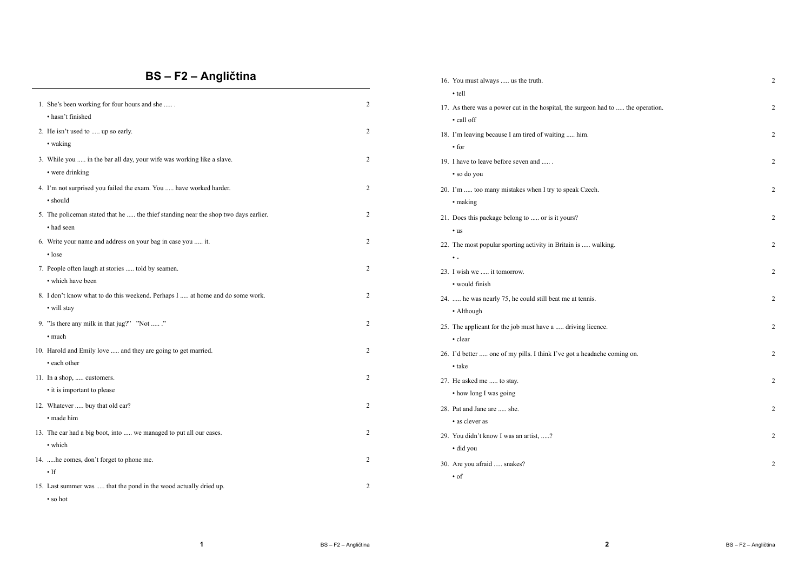# **BS – F2 – Angličtina**

|                                                                                     |                | $\cdot$ tell                                                                     |                |
|-------------------------------------------------------------------------------------|----------------|----------------------------------------------------------------------------------|----------------|
| 1. She's been working for four hours and she                                        | $\overline{2}$ | 17. As there was a power cut in the hospital, the surgeon had to  the operation. | $\overline{2}$ |
| · hasn't finished                                                                   |                | • call off                                                                       |                |
| 2. He isn't used to  up so early.                                                   | 2              | 18. I'm leaving because I am tired of waiting  him.                              | $\overline{2}$ |
| • waking                                                                            |                | $\cdot$ for                                                                      |                |
| 3. While you  in the bar all day, your wife was working like a slave.               | 2              | 19. I have to leave before seven and                                             | $\overline{2}$ |
| • were drinking                                                                     |                | • so do you                                                                      |                |
| 4. I'm not surprised you failed the exam. You  have worked harder.                  | 2              | 20. I'm  too many mistakes when I try to speak Czech.                            | $\overline{2}$ |
| • should                                                                            |                | • making                                                                         |                |
| 5. The policeman stated that he  the thief standing near the shop two days earlier. | 2              | 21. Does this package belong to  or is it yours?                                 | $\overline{2}$ |
| • had seen                                                                          |                | $\cdot$ us                                                                       |                |
| 6. Write your name and address on your bag in case you  it.                         | 2              | 22. The most popular sporting activity in Britain is  walking.                   | $\overline{2}$ |
| $\cdot$ lose                                                                        |                | $\bullet$ .                                                                      |                |
| 7. People often laugh at stories  told by seamen.                                   | 2              | 23. I wish we  it tomorrow.                                                      | $\overline{2}$ |
| • which have been                                                                   |                | • would finish                                                                   |                |
| 8. I don't know what to do this weekend. Perhaps I  at home and do some work.       | 2              | 24.  he was nearly 75, he could still beat me at tennis.                         | $\overline{2}$ |
| • will stay                                                                         |                | • Although                                                                       |                |
| 9. "Is there any milk in that jug?" "Not "                                          | 2              | 25. The applicant for the job must have a  driving licence.                      | 2              |
| • much                                                                              |                | • clear                                                                          |                |
| 10. Harold and Emily love  and they are going to get married.                       | 2              | 26. I'd better  one of my pills. I think I've got a headache coming on.          | $\overline{2}$ |
| • each other                                                                        |                | • take                                                                           |                |
| 11. In a shop,  customers.                                                          | 2              | 27. He asked me  to stay.                                                        | $\overline{2}$ |
| • it is important to please                                                         |                | • how long I was going                                                           |                |
| 12. Whatever  buy that old car?                                                     | 2              | 28. Pat and Jane are  she.                                                       | $\overline{2}$ |
| · made him                                                                          |                | • as clever as                                                                   |                |
| 13. The car had a big boot, into  we managed to put all our cases.                  | $\overline{2}$ | 29. You didn't know I was an artist, ?                                           | $\overline{2}$ |
| • which                                                                             |                | • did you                                                                        |                |
| 14. he comes, don't forget to phone me.                                             | $\overline{2}$ |                                                                                  |                |
| $\cdot$ If                                                                          |                | 30. Are you afraid  snakes?                                                      | $\overline{2}$ |
| 15. Last summer was  that the pond in the wood actually dried up.                   | 2              | $\cdot$ of                                                                       |                |
| • so hot                                                                            |                |                                                                                  |                |
|                                                                                     |                |                                                                                  |                |

**2**

16. You must always ..... us the truth. 2